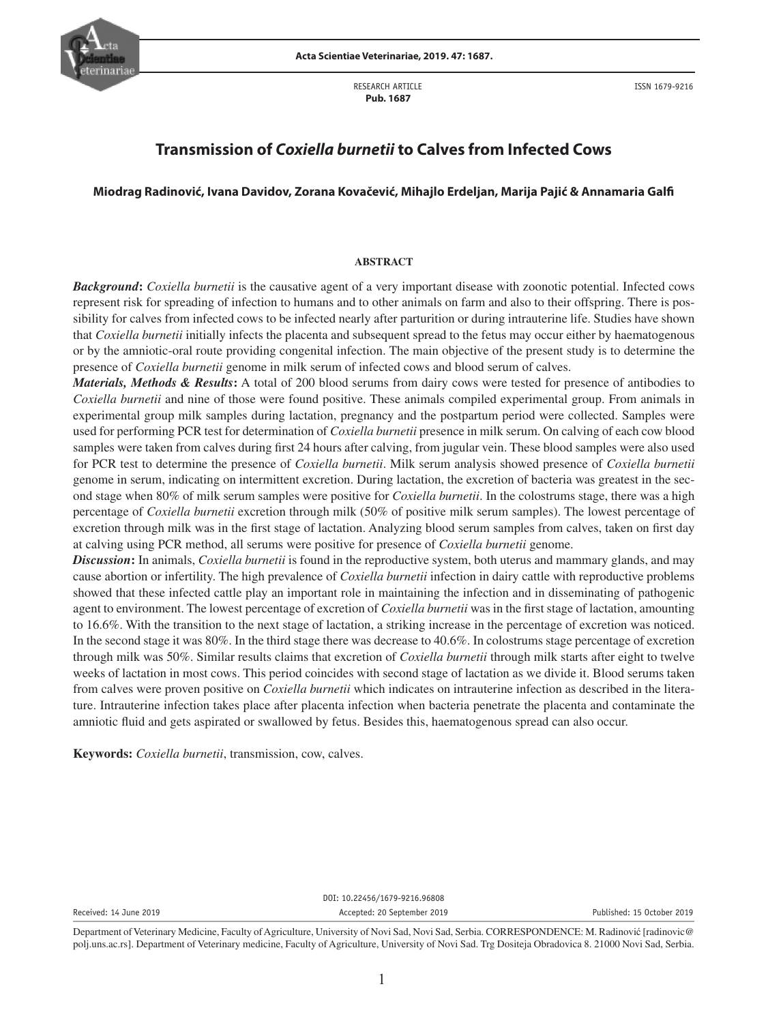

RESEARCH ARTICLE  **Pub. 1687**

ISSN 1679-9216

# **Transmission of** *Coxiella burnetii* **to Calves from Infected Cows**

## **Miodrag Radinović, Ivana Davidov, Zorana Kovačević, Mihajlo Erdeljan, Marija Pajić & Annamaria Galfi**

#### **ABSTRACT**

*Background***:** *Coxiella burnetii* is the causative agent of a very important disease with zoonotic potential. Infected cows represent risk for spreading of infection to humans and to other animals on farm and also to their offspring. There is possibility for calves from infected cows to be infected nearly after parturition or during intrauterine life. Studies have shown that *Coxiella burnetii* initially infects the placenta and subsequent spread to the fetus may occur either by haematogenous or by the amniotic-oral route providing congenital infection. The main objective of the present study is to determine the presence of *Coxiella burnetii* genome in milk serum of infected cows and blood serum of calves.

*Materials, Methods & Results***:** A total of 200 blood serums from dairy cows were tested for presence of antibodies to *Coxiella burnetii* and nine of those were found positive. These animals compiled experimental group. From animals in experimental group milk samples during lactation, pregnancy and the postpartum period were collected. Samples were used for performing PCR test for determination of *Coxiella burnetii* presence in milk serum. On calving of each cow blood samples were taken from calves during first 24 hours after calving, from jugular vein. These blood samples were also used for PCR test to determine the presence of *Coxiella burnetii*. Milk serum analysis showed presence of *Coxiella burnetii* genome in serum, indicating on intermittent excretion. During lactation, the excretion of bacteria was greatest in the second stage when 80% of milk serum samples were positive for *Coxiella burnetii*. In the colostrums stage, there was a high percentage of *Coxiella burnetii* excretion through milk (50% of positive milk serum samples). The lowest percentage of excretion through milk was in the first stage of lactation. Analyzing blood serum samples from calves, taken on first day at calving using PCR method, all serums were positive for presence of *Coxiella burnetii* genome.

*Discussion***:** In animals, *Coxiella burnetii* is found in the reproductive system, both uterus and mammary glands, and may cause abortion or infertility. The high prevalence of *Coxiella burnetii* infection in dairy cattle with reproductive problems showed that these infected cattle play an important role in maintaining the infection and in disseminating of pathogenic agent to environment. The lowest percentage of excretion of *Coxiella burnetii* was in the first stage of lactation, amounting to 16.6%. With the transition to the next stage of lactation, a striking increase in the percentage of excretion was noticed. In the second stage it was 80%. In the third stage there was decrease to 40.6%. In colostrums stage percentage of excretion through milk was 50%. Similar results claims that excretion of *Coxiella burnetii* through milk starts after eight to twelve weeks of lactation in most cows. This period coincides with second stage of lactation as we divide it. Blood serums taken from calves were proven positive on *Coxiella burnetii* which indicates on intrauterine infection as described in the literature. Intrauterine infection takes place after placenta infection when bacteria penetrate the placenta and contaminate the amniotic fluid and gets aspirated or swallowed by fetus. Besides this, haematogenous spread can also occur.

**Keywords:** *Coxiella burnetii*, transmission, cow, calves.

DOI: 10.22456/1679-9216.96808 Received: 14 June 2019 **Accepted: 20 September 2019** Accepted: 20 September 2019 **Published: 15 October 2019** 

Department of Veterinary Medicine, Faculty of Agriculture, University of Novi Sad, Novi Sad, Serbia. CORRESPONDENCE: M. Radinović [radinovic@ polj.uns.ac.rs]. Department of Veterinary medicine, Faculty of Agriculture, University of Novi Sad. Trg Dositeja Obradovica 8. 21000 Novi Sad, Serbia.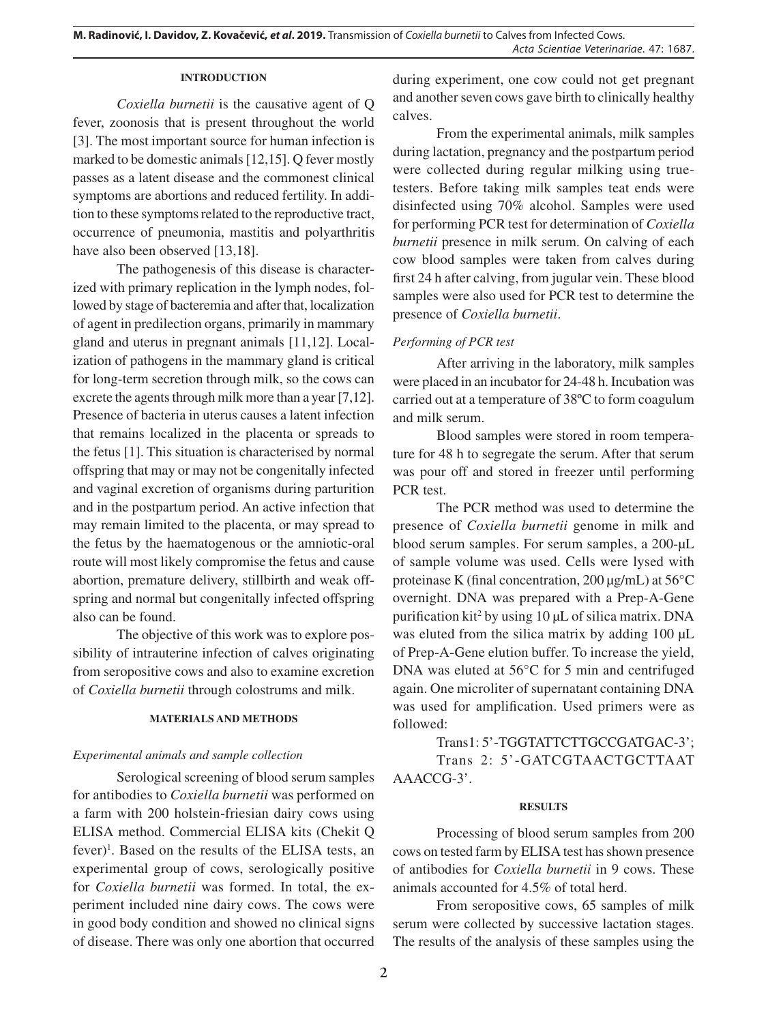## **INTRODUCTION**

*Coxiella burnetii* is the causative agent of Q fever, zoonosis that is present throughout the world [3]. The most important source for human infection is marked to be domestic animals [12,15]. Q fever mostly passes as a latent disease and the commonest clinical symptoms are abortions and reduced fertility. In addition to these symptoms related to the reproductive tract, occurrence of pneumonia, mastitis and polyarthritis have also been observed [13,18].

The pathogenesis of this disease is characterized with primary replication in the lymph nodes, followed by stage of bacteremia and after that, localization of agent in predilection organs, primarily in mammary gland and uterus in pregnant animals [11,12]. Localization of pathogens in the mammary gland is critical for long-term secretion through milk, so the cows can excrete the agents through milk more than a year [7,12]. Presence of bacteria in uterus causes a latent infection that remains localized in the placenta or spreads to the fetus [1]. This situation is characterised by normal offspring that may or may not be congenitally infected and vaginal excretion of organisms during parturition and in the postpartum period. An active infection that may remain limited to the placenta, or may spread to the fetus by the haematogenous or the amniotic-oral route will most likely compromise the fetus and cause abortion, premature delivery, stillbirth and weak offspring and normal but congenitally infected offspring also can be found.

The objective of this work was to explore possibility of intrauterine infection of calves originating from seropositive cows and also to examine excretion of *Coxiella burnetii* through colostrums and milk.

#### **MATERIALS AND METHODS**

# *Experimental animals and sample collection*

Serological screening of blood serum samples for antibodies to *Coxiella burnetii* was performed on a farm with 200 holstein-friesian dairy cows using ELISA method. Commercial ELISA kits (Chekit Q fever)<sup>1</sup>. Based on the results of the ELISA tests, an experimental group of cows, serologically positive for *Coxiella burnetii* was formed. In total, the experiment included nine dairy cows. The cows were in good body condition and showed no clinical signs of disease. There was only one abortion that occurred

during experiment, one cow could not get pregnant and another seven cows gave birth to clinically healthy calves.

From the experimental animals, milk samples during lactation, pregnancy and the postpartum period were collected during regular milking using truetesters. Before taking milk samples teat ends were disinfected using 70% alcohol. Samples were used for performing PCR test for determination of *Coxiella burnetii* presence in milk serum. On calving of each cow blood samples were taken from calves during first 24 h after calving, from jugular vein. These blood samples were also used for PCR test to determine the presence of *Coxiella burnetii*.

## *Performing of PCR test*

After arriving in the laboratory, milk samples were placed in an incubator for 24-48 h. Incubation was carried out at a temperature of 38ºC to form coagulum and milk serum.

Blood samples were stored in room temperature for 48 h to segregate the serum. After that serum was pour off and stored in freezer until performing PCR test.

The PCR method was used to determine the presence of *Coxiella burnetii* genome in milk and blood serum samples. For serum samples, a 200-μL of sample volume was used. Cells were lysed with proteinase K (final concentration, 200 μg/mL) at 56°C overnight. DNA was prepared with a Prep-A-Gene purification kit2 by using 10 μL of silica matrix. DNA was eluted from the silica matrix by adding 100 μL of Prep-A-Gene elution buffer. To increase the yield, DNA was eluted at 56°C for 5 min and centrifuged again. One microliter of supernatant containing DNA was used for amplification. Used primers were as followed:

Trans1: 5'-TGGTATTCTTGCCGATGAC-3'; Trans 2: 5'-GATCGTAACTGCTTAAT AAACCG-3'.

## **RESULTS**

Processing of blood serum samples from 200 cows on tested farm by ELISA test has shown presence of antibodies for *Coxiella burnetii* in 9 cows. These animals accounted for 4.5% of total herd.

From seropositive cows, 65 samples of milk serum were collected by successive lactation stages. The results of the analysis of these samples using the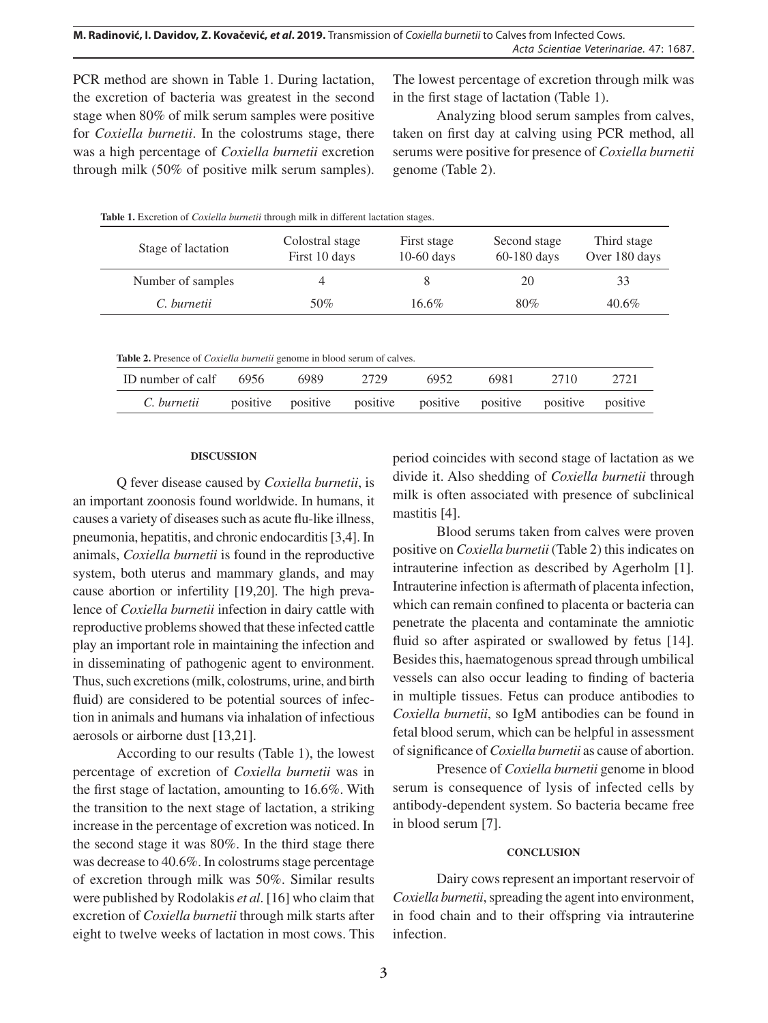PCR method are shown in Table 1. During lactation, the excretion of bacteria was greatest in the second stage when 80% of milk serum samples were positive for *Coxiella burnetii*. In the colostrums stage, there was a high percentage of *Coxiella burnetii* excretion through milk (50% of positive milk serum samples). The lowest percentage of excretion through milk was in the first stage of lactation (Table 1).

Analyzing blood serum samples from calves, taken on first day at calving using PCR method, all serums were positive for presence of *Coxiella burnetii* genome (Table 2).

| <b>Radio 1.</b> EXCREDIN OF COMETIC ORTHOUS HIDGEII HIIIN III GITTERNII RAGALIOII STAGUS. |                                  |                             |                               |                              |  |  |  |  |  |  |
|-------------------------------------------------------------------------------------------|----------------------------------|-----------------------------|-------------------------------|------------------------------|--|--|--|--|--|--|
| Stage of lactation                                                                        | Colostral stage<br>First 10 days | First stage<br>$10-60$ days | Second stage<br>$60-180$ days | Third stage<br>Over 180 days |  |  |  |  |  |  |
| Number of samples                                                                         |                                  |                             | 20                            | 33                           |  |  |  |  |  |  |
| C. burnetii                                                                               | 50%                              | $16.6\%$                    | 80%                           | $40.6\%$                     |  |  |  |  |  |  |

**Table 1.** Excretion of *Coxiella burnetii* through milk in different lactation stages.

**Table 2.** Presence of *Coxiella burnetii* genome in blood serum of calves.

| ID number of calf 6956                                                     | 6989 | 2729 | 6952. | 6981 | 2710 | 2721 |
|----------------------------------------------------------------------------|------|------|-------|------|------|------|
| C. burnetii positive positive positive positive positive positive positive |      |      |       |      |      |      |

#### **DISCUSSION**

Q fever disease caused by *Coxiella burnetii*, is an important zoonosis found worldwide. In humans, it causes a variety of diseases such as acute flu-like illness, pneumonia, hepatitis, and chronic endocarditis [3,4]. In animals, *Coxiella burnetii* is found in the reproductive system, both uterus and mammary glands, and may cause abortion or infertility [19,20]. The high prevalence of *Coxiella burnetii* infection in dairy cattle with reproductive problems showed that these infected cattle play an important role in maintaining the infection and in disseminating of pathogenic agent to environment. Thus, such excretions (milk, colostrums, urine, and birth fluid) are considered to be potential sources of infection in animals and humans via inhalation of infectious aerosols or airborne dust [13,21].

According to our results (Table 1), the lowest percentage of excretion of *Coxiella burnetii* was in the first stage of lactation, amounting to 16.6%. With the transition to the next stage of lactation, a striking increase in the percentage of excretion was noticed. In the second stage it was 80%. In the third stage there was decrease to 40.6%. In colostrums stage percentage of excretion through milk was 50%. Similar results were published by Rodolakis *et al*. [16] who claim that excretion of *Coxiella burnetii* through milk starts after eight to twelve weeks of lactation in most cows. This period coincides with second stage of lactation as we divide it. Also shedding of *Coxiella burnetii* through milk is often associated with presence of subclinical mastitis [4].

Blood serums taken from calves were proven positive on *Coxiella burnetii* (Table 2) this indicates on intrauterine infection as described by Agerholm [1]. Intrauterine infection is aftermath of placenta infection, which can remain confined to placenta or bacteria can penetrate the placenta and contaminate the amniotic fluid so after aspirated or swallowed by fetus [14]. Besides this, haematogenous spread through umbilical vessels can also occur leading to finding of bacteria in multiple tissues. Fetus can produce antibodies to *Coxiella burnetii*, so IgM antibodies can be found in fetal blood serum, which can be helpful in assessment of significance of *Coxiella burnetii* as cause of abortion.

Presence of *Coxiella burnetii* genome in blood serum is consequence of lysis of infected cells by antibody-dependent system. So bacteria became free in blood serum [7].

## **CONCLUSION**

Dairy cows represent an important reservoir of *Coxiella burnetii*, spreading the agent into environment, in food chain and to their offspring via intrauterine infection.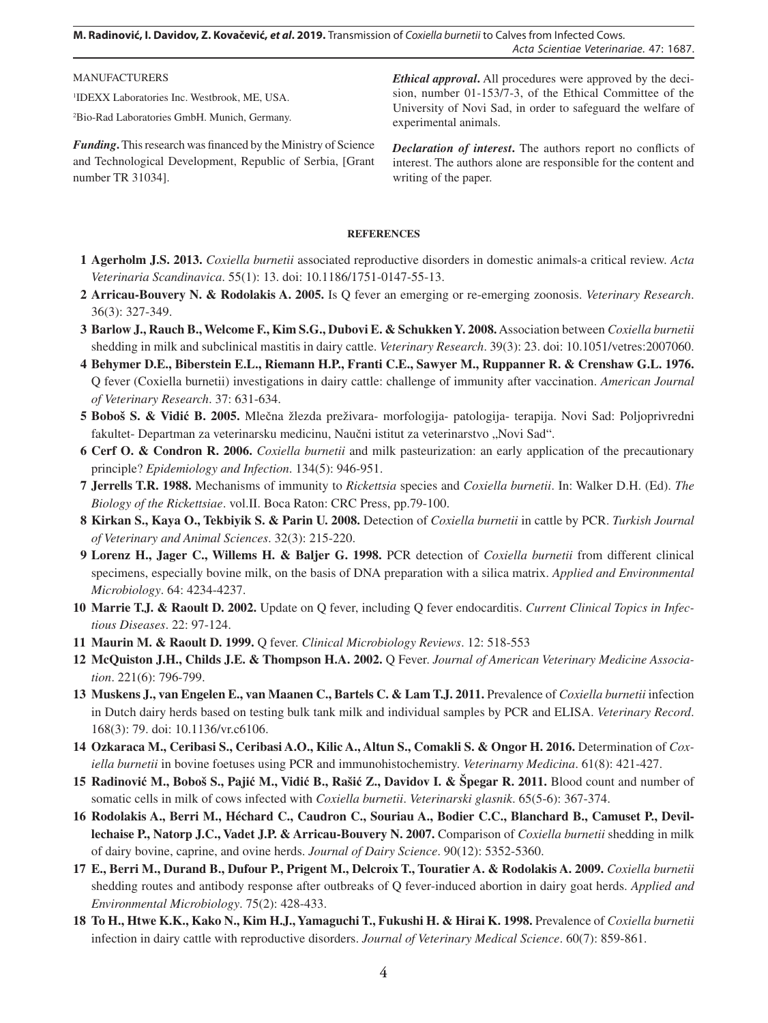**M. Radinović, I. Davidov, Z. Kovačević,** *et al***. 2019.** Transmission of *Coxiella burnetii* to Calves from Infected Cows. *Acta Scientiae Veterinariae*. 47: 1687.

MANUFACTURERS 1 IDEXX Laboratories Inc. Westbrook, ME, USA. 2 Bio-Rad Laboratories GmbH. Munich, Germany. *Ethical approval***.** All procedures were approved by the decision, number 01-153/7-3, of the Ethical Committee of the University of Novi Sad, in order to safeguard the welfare of experimental animals.

*Funding***.** This research was financed by the Ministry of Science and Technological Development, Republic of Serbia, [Grant number TR 31034].

*Declaration of interest***.** The authors report no conflicts of interest. The authors alone are responsible for the content and writing of the paper.

#### **REFERENCES**

- **1 Agerholm J.S. 2013.** *Coxiella burnetii* associated reproductive disorders in domestic animals-a critical review. *Acta Veterinaria Scandinavica*. 55(1): 13. doi: 10.1186/1751-0147-55-13.
- **2 Arricau-Bouvery N. & Rodolakis A. 2005.** Is Q fever an emerging or re-emerging zoonosis. *Veterinary Research*. 36(3): 327-349.
- **3 Barlow J., Rauch B., Welcome F., Kim S.G., Dubovi E. & Schukken Y. 2008.** Association between *Coxiella burnetii* shedding in milk and subclinical mastitis in dairy cattle. *Veterinary Research*. 39(3): 23. doi: 10.1051/vetres:2007060.
- **4 Behymer D.E., Biberstein E.L., Riemann H.P., Franti C.E., Sawyer M., Ruppanner R. & Crenshaw G.L. 1976.** Q fever (Coxiella burnetii) investigations in dairy cattle: challenge of immunity after vaccination. *American Journal of Veterinary Research*. 37: 631-634.
- **5 Boboš S. & Vidić B. 2005.** Mlečna žlezda preživara- morfologija- patologija- terapija. Novi Sad: Poljoprivredni fakultet- Departman za veterinarsku medicinu, Naučni istitut za veterinarstvo "Novi Sad".
- **6 Cerf O. & Condron R. 2006.** *Coxiella burnetii* and milk pasteurization: an early application of the precautionary principle? *Epidemiology and Infection*. 134(5): 946-951.
- **7 Jerrells T.R. 1988.** Mechanisms of immunity to *Rickettsia* species and *Coxiella burnetii*. In: Walker D.H. (Ed). *The Biology of the Rickettsiae*. vol.II. Boca Raton: CRC Press, pp.79-100.
- **8 Kirkan S., Kaya O., Tekbiyik S. & Parin U. 2008.** Detection of *Coxiella burnetii* in cattle by PCR. *Turkish Journal of Veterinary and Animal Sciences*. 32(3): 215-220.
- **9 Lorenz H., Jager C., Willems H. & Baljer G. 1998.** PCR detection of *Coxiella burnetii* from different clinical specimens, especially bovine milk, on the basis of DNA preparation with a silica matrix. *Applied and Environmental Microbiology*. 64: 4234-4237.
- **10 Marrie T.J. & Raoult D. 2002.** Update on Q fever, including Q fever endocarditis. *Current Clinical Topics in Infectious Diseases*. 22: 97-124.
- **11 Maurin M. & Raoult D. 1999.** Q fever. *Clinical Microbiology Reviews*. 12: 518-553
- **12 McQuiston J.H., Childs J.E. & Thompson H.A. 2002.** Q Fever. *Journal of American Veterinary Medicine Association*. 221(6): 796-799.
- **13 Muskens J., van Engelen E., van Maanen C., Bartels C. & Lam T.J. 2011.** Prevalence of *Coxiella burnetii* infection in Dutch dairy herds based on testing bulk tank milk and individual samples by PCR and ELISA. *Veterinary Record*. 168(3): 79. doi: 10.1136/vr.c6106.
- **14 Ozkaraca M., Ceribasi S., Ceribasi A.O., Kilic A., Altun S., Comakli S. & Ongor H. 2016.** Determination of *Coxiella burnetii* in bovine foetuses using PCR and immunohistochemistry. *Veterinarny Medicina*. 61(8): 421-427.
- **15 Radinović M., Boboš S., Pajić M., Vidić B., Rašić Z., Davidov I. & Špegar R. 2011.** Blood count and number of somatic cells in milk of cows infected with *Coxiella burnetii*. *Veterinarski glasnik*. 65(5-6): 367-374.
- **16 Rodolakis A., Berri M., Héchard C., Caudron C., Souriau A., Bodier C.C., Blanchard B., Camuset P., Devillechaise P., Natorp J.C., Vadet J.P. & Arricau-Bouvery N. 2007.** Comparison of *Coxiella burnetii* shedding in milk of dairy bovine, caprine, and ovine herds. *Journal of Dairy Science*. 90(12): 5352-5360.
- **17 E., Berri M., Durand B., Dufour P., Prigent M., Delcroix T., Touratier A. & Rodolakis A. 2009.** *Coxiella burnetii* shedding routes and antibody response after outbreaks of Q fever-induced abortion in dairy goat herds. *Applied and Environmental Microbiology*. 75(2): 428-433.
- **18 To H., Htwe K.K., Kako N., Kim H.J., Yamaguchi T., Fukushi H. & Hirai K. 1998.** Prevalence of *Coxiella burnetii* infection in dairy cattle with reproductive disorders. *Journal of Veterinary Medical Science*. 60(7): 859-861.